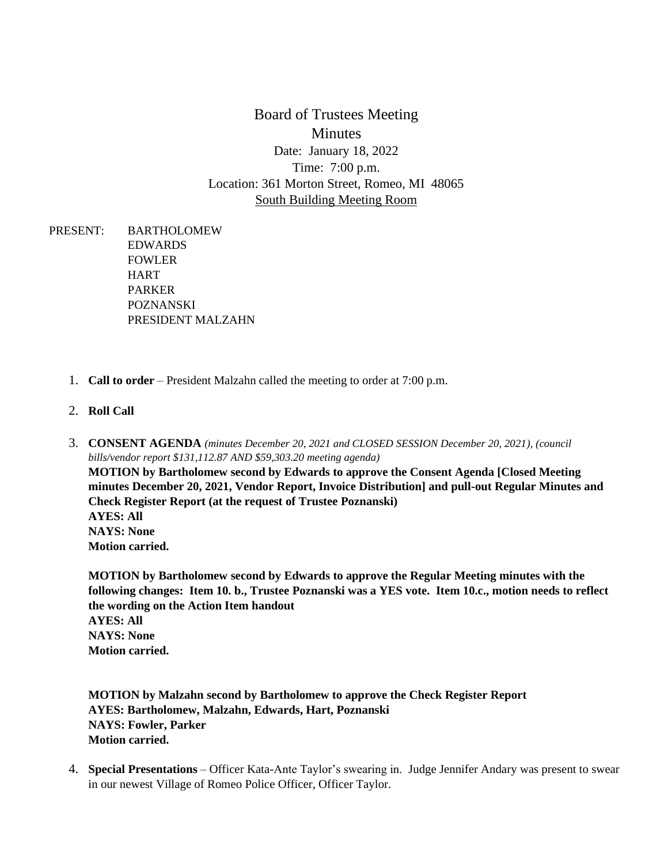Board of Trustees Meeting Minutes Date: January 18, 2022 Time: 7:00 p.m. Location: 361 Morton Street, Romeo, MI 48065 South Building Meeting Room

- PRESENT: BARTHOLOMEW EDWARDS FOWLER **HART** PARKER POZNANSKI PRESIDENT MALZAHN
	- 1. **Call to order** President Malzahn called the meeting to order at 7:00 p.m.
	- 2. **Roll Call**
	- 3. **CONSENT AGENDA** *(minutes December 20, 2021 and CLOSED SESSION December 20, 2021), (council bills/vendor report \$131,112.87 AND \$59,303.20 meeting agenda)* **MOTION by Bartholomew second by Edwards to approve the Consent Agenda [Closed Meeting minutes December 20, 2021, Vendor Report, Invoice Distribution] and pull-out Regular Minutes and Check Register Report (at the request of Trustee Poznanski) AYES: All NAYS: None Motion carried.**

**MOTION by Bartholomew second by Edwards to approve the Regular Meeting minutes with the following changes: Item 10. b., Trustee Poznanski was a YES vote. Item 10.c., motion needs to reflect the wording on the Action Item handout AYES: All NAYS: None Motion carried.** 

**MOTION by Malzahn second by Bartholomew to approve the Check Register Report AYES: Bartholomew, Malzahn, Edwards, Hart, Poznanski NAYS: Fowler, Parker Motion carried.** 

4. **Special Presentations** – Officer Kata-Ante Taylor's swearing in. Judge Jennifer Andary was present to swear in our newest Village of Romeo Police Officer, Officer Taylor.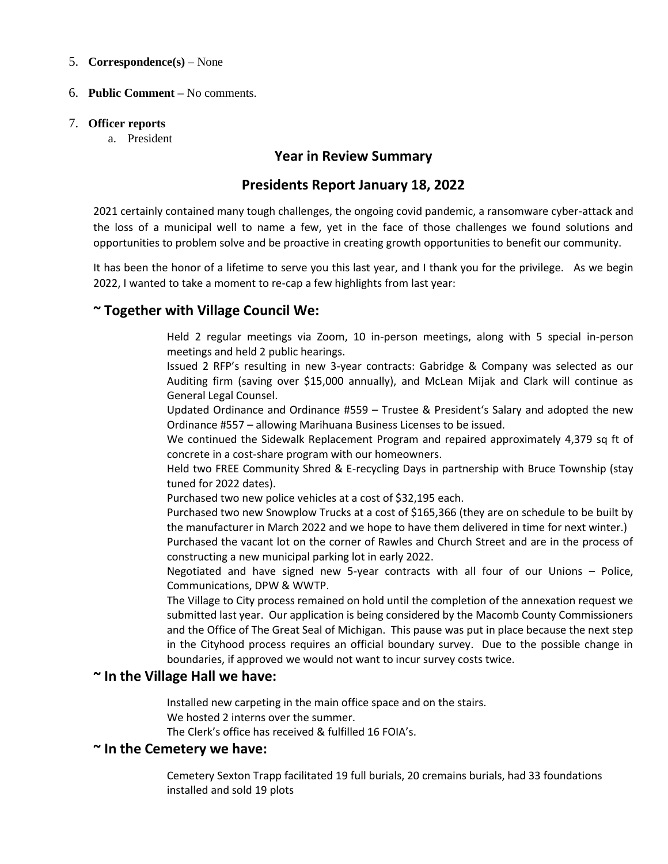#### 5. **Correspondence(s)** – None

- 6. **Public Comment –** No comments.
- 7. **Officer reports**
	- a. President

### **Year in Review Summary**

### **Presidents Report January 18, 2022**

2021 certainly contained many tough challenges, the ongoing covid pandemic, a ransomware cyber-attack and the loss of a municipal well to name a few, yet in the face of those challenges we found solutions and opportunities to problem solve and be proactive in creating growth opportunities to benefit our community.

It has been the honor of a lifetime to serve you this last year, and I thank you for the privilege. As we begin 2022, I wanted to take a moment to re-cap a few highlights from last year:

# **~ Together with Village Council We:**

Held 2 regular meetings via Zoom, 10 in-person meetings, along with 5 special in-person meetings and held 2 public hearings.

Issued 2 RFP's resulting in new 3-year contracts: Gabridge & Company was selected as our Auditing firm (saving over \$15,000 annually), and McLean Mijak and Clark will continue as General Legal Counsel.

Updated Ordinance and Ordinance #559 – Trustee & President's Salary and adopted the new Ordinance #557 – allowing Marihuana Business Licenses to be issued.

We continued the Sidewalk Replacement Program and repaired approximately 4,379 sq ft of concrete in a cost-share program with our homeowners.

Held two FREE Community Shred & E-recycling Days in partnership with Bruce Township (stay tuned for 2022 dates).

Purchased two new police vehicles at a cost of \$32,195 each.

Purchased two new Snowplow Trucks at a cost of \$165,366 (they are on schedule to be built by the manufacturer in March 2022 and we hope to have them delivered in time for next winter.)

Purchased the vacant lot on the corner of Rawles and Church Street and are in the process of constructing a new municipal parking lot in early 2022.

Negotiated and have signed new 5-year contracts with all four of our Unions – Police, Communications, DPW & WWTP.

The Village to City process remained on hold until the completion of the annexation request we submitted last year. Our application is being considered by the Macomb County Commissioners and the Office of The Great Seal of Michigan. This pause was put in place because the next step in the Cityhood process requires an official boundary survey. Due to the possible change in boundaries, if approved we would not want to incur survey costs twice.

#### **~ In the Village Hall we have:**

Installed new carpeting in the main office space and on the stairs. We hosted 2 interns over the summer. The Clerk's office has received & fulfilled 16 FOIA's.

### **~ In the Cemetery we have:**

Cemetery Sexton Trapp facilitated 19 full burials, 20 cremains burials, had 33 foundations installed and sold 19 plots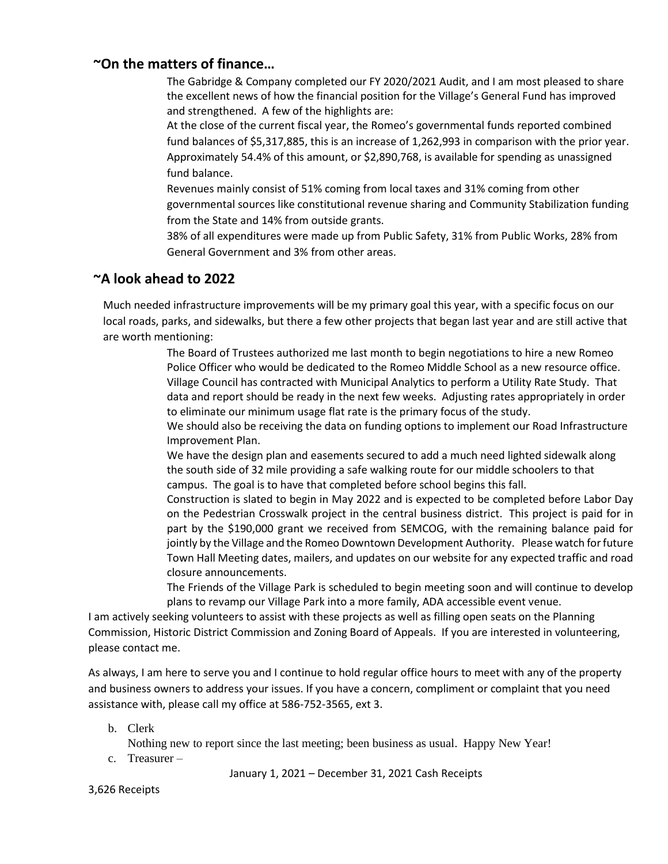# **~On the matters of finance…**

The Gabridge & Company completed our FY 2020/2021 Audit, and I am most pleased to share the excellent news of how the financial position for the Village's General Fund has improved and strengthened. A few of the highlights are:

At the close of the current fiscal year, the Romeo's governmental funds reported combined fund balances of \$5,317,885, this is an increase of 1,262,993 in comparison with the prior year. Approximately 54.4% of this amount, or \$2,890,768, is available for spending as unassigned fund balance.

Revenues mainly consist of 51% coming from local taxes and 31% coming from other governmental sources like constitutional revenue sharing and Community Stabilization funding from the State and 14% from outside grants.

38% of all expenditures were made up from Public Safety, 31% from Public Works, 28% from General Government and 3% from other areas.

# **~A look ahead to 2022**

Much needed infrastructure improvements will be my primary goal this year, with a specific focus on our local roads, parks, and sidewalks, but there a few other projects that began last year and are still active that are worth mentioning:

> The Board of Trustees authorized me last month to begin negotiations to hire a new Romeo Police Officer who would be dedicated to the Romeo Middle School as a new resource office. Village Council has contracted with Municipal Analytics to perform a Utility Rate Study. That data and report should be ready in the next few weeks. Adjusting rates appropriately in order to eliminate our minimum usage flat rate is the primary focus of the study.

> We should also be receiving the data on funding options to implement our Road Infrastructure Improvement Plan.

We have the design plan and easements secured to add a much need lighted sidewalk along the south side of 32 mile providing a safe walking route for our middle schoolers to that campus. The goal is to have that completed before school begins this fall.

Construction is slated to begin in May 2022 and is expected to be completed before Labor Day on the Pedestrian Crosswalk project in the central business district. This project is paid for in part by the \$190,000 grant we received from SEMCOG, with the remaining balance paid for jointly by the Village and the Romeo Downtown Development Authority. Please watch for future Town Hall Meeting dates, mailers, and updates on our website for any expected traffic and road closure announcements.

The Friends of the Village Park is scheduled to begin meeting soon and will continue to develop plans to revamp our Village Park into a more family, ADA accessible event venue.

I am actively seeking volunteers to assist with these projects as well as filling open seats on the Planning Commission, Historic District Commission and Zoning Board of Appeals. If you are interested in volunteering, please contact me.

As always, I am here to serve you and I continue to hold regular office hours to meet with any of the property and business owners to address your issues. If you have a concern, compliment or complaint that you need assistance with, please call my office at 586-752-3565, ext 3.

b. Clerk

Nothing new to report since the last meeting; been business as usual. Happy New Year!

c. Treasurer –

January 1, 2021 – December 31, 2021 Cash Receipts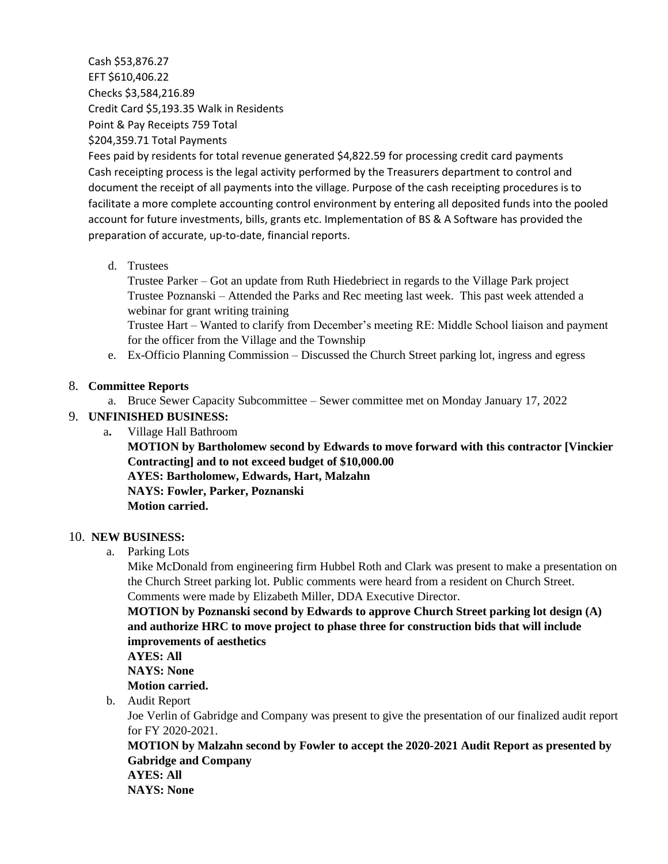Cash \$53,876.27 EFT \$610,406.22 Checks \$3,584,216.89 Credit Card \$5,193.35 Walk in Residents Point & Pay Receipts 759 Total

\$204,359.71 Total Payments

Fees paid by residents for total revenue generated \$4,822.59 for processing credit card payments Cash receipting process is the legal activity performed by the Treasurers department to control and document the receipt of all payments into the village. Purpose of the cash receipting procedures is to facilitate a more complete accounting control environment by entering all deposited funds into the pooled account for future investments, bills, grants etc. Implementation of BS & A Software has provided the preparation of accurate, up-to-date, financial reports.

d. Trustees

Trustee Parker – Got an update from Ruth Hiedebriect in regards to the Village Park project Trustee Poznanski – Attended the Parks and Rec meeting last week. This past week attended a webinar for grant writing training

Trustee Hart – Wanted to clarify from December's meeting RE: Middle School liaison and payment for the officer from the Village and the Township

e. Ex-Officio Planning Commission – Discussed the Church Street parking lot, ingress and egress

#### 8. **Committee Reports**

a. Bruce Sewer Capacity Subcommittee – Sewer committee met on Monday January 17, 2022

### 9. **UNFINISHED BUSINESS:**

a**.** Village Hall Bathroom

**MOTION by Bartholomew second by Edwards to move forward with this contractor [Vinckier Contracting] and to not exceed budget of \$10,000.00 AYES: Bartholomew, Edwards, Hart, Malzahn NAYS: Fowler, Parker, Poznanski**

**Motion carried.** 

#### 10. **NEW BUSINESS:**

a. Parking Lots

Mike McDonald from engineering firm Hubbel Roth and Clark was present to make a presentation on the Church Street parking lot. Public comments were heard from a resident on Church Street. Comments were made by Elizabeth Miller, DDA Executive Director.

**MOTION by Poznanski second by Edwards to approve Church Street parking lot design (A) and authorize HRC to move project to phase three for construction bids that will include improvements of aesthetics**

**AYES: All NAYS: None Motion carried.** 

b. Audit Report

Joe Verlin of Gabridge and Company was present to give the presentation of our finalized audit report for FY 2020-2021.

**MOTION by Malzahn second by Fowler to accept the 2020-2021 Audit Report as presented by Gabridge and Company AYES: All** 

**NAYS: None**